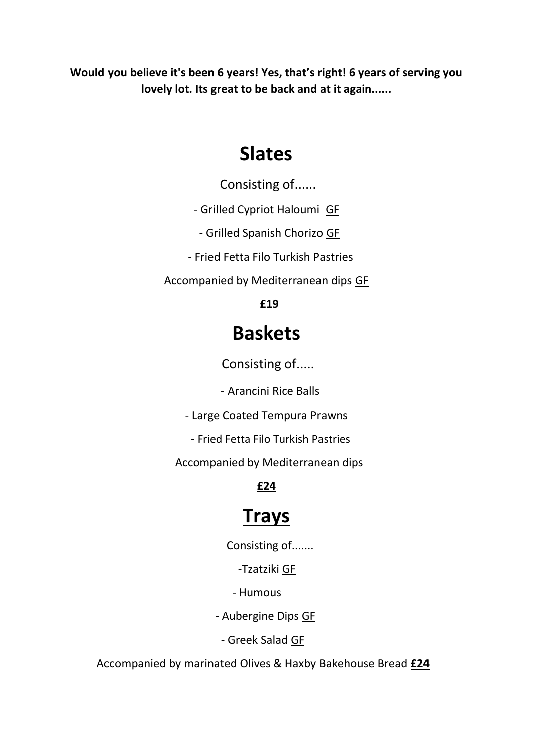**Would you believe it's been 6 years! Yes, that's right! 6 years of serving you lovely lot. Its great to be back and at it again......**

## **Slates**

Consisting of......

- Grilled Cypriot Haloumi GF

- Grilled Spanish Chorizo GF

- Fried Fetta Filo Turkish Pastries

Accompanied by Mediterranean dips GF

### **£19**

## **Baskets**

Consisting of.....

- Arancini Rice Balls

- Large Coated Tempura Prawns

- Fried Fetta Filo Turkish Pastries

Accompanied by Mediterranean dips

### **£24**

# **Trays**

Consisting of.......

-Tzatziki GF

#### - Humous

- Aubergine Dips GF

- Greek Salad GF

Accompanied by marinated Olives & Haxby Bakehouse Bread **£24**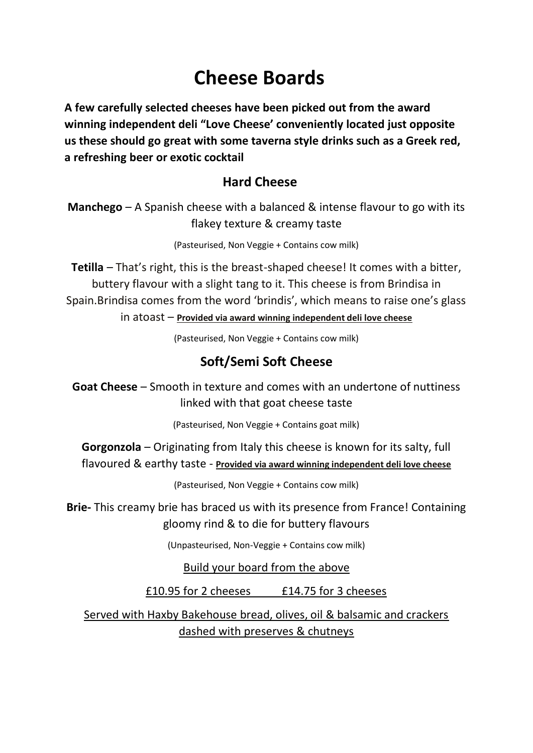## **Cheese Boards**

**A few carefully selected cheeses have been picked out from the award winning independent deli "Love Cheese' conveniently located just opposite us these should go great with some taverna style drinks such as a Greek red, a refreshing beer or exotic cocktail**

### **Hard Cheese**

**Manchego** – A Spanish cheese with a balanced & intense flavour to go with its flakey texture & creamy taste

(Pasteurised, Non Veggie + Contains cow milk)

**Tetilla** – That's right, this is the breast-shaped cheese! It comes with a bitter, buttery flavour with a slight tang to it. This cheese is from Brindisa in Spain.Brindisa comes from the word 'brindis', which means to raise one's glass

in atoast – **Provided via award winning independent deli love cheese**

(Pasteurised, Non Veggie + Contains cow milk)

### **Soft/Semi Soft Cheese**

**Goat Cheese** – Smooth in texture and comes with an undertone of nuttiness linked with that goat cheese taste

(Pasteurised, Non Veggie + Contains goat milk)

**Gorgonzola** – Originating from Italy this cheese is known for its salty, full flavoured & earthy taste - **Provided via award winning independent deli love cheese**

(Pasteurised, Non Veggie + Contains cow milk)

**Brie-** This creamy brie has braced us with its presence from France! Containing gloomy rind & to die for buttery flavours

(Unpasteurised, Non-Veggie + Contains cow milk)

Build your board from the above

£10.95 for 2 cheeses £14.75 for 3 cheeses

Served with Haxby Bakehouse bread, olives, oil & balsamic and crackers dashed with preserves & chutneys